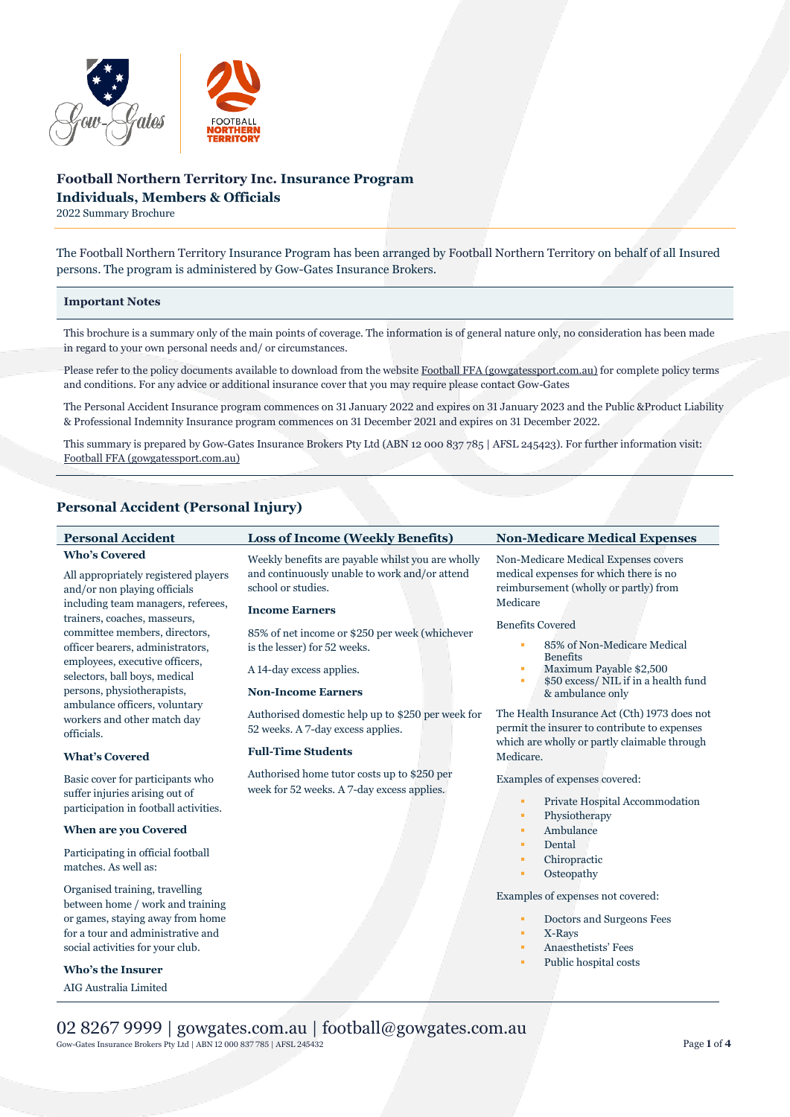

# **Football Northern Territory Inc. Insurance Program Individuals, Members & Officials**

2022 Summary Brochure

The Football Northern Territory Insurance Program has been arranged by Football Northern Territory on behalf of all Insured persons. The program is administered by Gow-Gates Insurance Brokers.

### **Important Notes**

This brochure is a summary only of the main points of coverage. The information is of general nature only, no consideration has been made in regard to your own personal needs and/ or circumstances.

Please refer to the policy documents available to download from the websit[e Football FFA \(gowgatessport.com.au\)](https://football.gowgatessport.com.au/) for complete policy terms and conditions. For any advice or additional insurance cover that you may require please contact Gow-Gates

The Personal Accident Insurance program commences on 31 January 2022 and expires on 31 January 2023 and the Public &Product Liability & Professional Indemnity Insurance program commences on 31 December 2021 and expires on 31 December 2022.

This summary is prepared by Gow-Gates Insurance Brokers Pty Ltd (ABN 12 000 837 785 | AFSL 245423). For further information visit: [Football FFA \(gowgatessport.com.au\)](https://football.gowgatessport.com.au/)

# **Personal Accident (Personal Injury)**

| <b>Personal Accident</b>                                                                                                                                                                                                                                                                                                                 | <b>Loss of Income (Weekly Benefits)</b>                                                                                                                                                                                                                         | <b>Non-Medicare Medical Expenses</b>                                                                                                                                                                                                                                                     |
|------------------------------------------------------------------------------------------------------------------------------------------------------------------------------------------------------------------------------------------------------------------------------------------------------------------------------------------|-----------------------------------------------------------------------------------------------------------------------------------------------------------------------------------------------------------------------------------------------------------------|------------------------------------------------------------------------------------------------------------------------------------------------------------------------------------------------------------------------------------------------------------------------------------------|
| <b>Who's Covered</b><br>All appropriately registered players<br>and/or non playing officials<br>including team managers, referees,<br>trainers, coaches, masseurs,<br>committee members, directors,<br>officer bearers, administrators,<br>employees, executive officers,<br>selectors, ball boys, medical<br>persons, physiotherapists, | Weekly benefits are payable whilst you are wholly<br>and continuously unable to work and/or attend<br>school or studies.<br><b>Income Earners</b><br>85% of net income or \$250 per week (whichever<br>is the lesser) for 52 weeks.<br>A 14-day excess applies. | Non-Medicare Medical Expenses covers<br>medical expenses for which there is no<br>reimbursement (wholly or partly) from<br>Medicare<br><b>Benefits Covered</b><br>85% of Non-Medicare Medical<br><b>Benefits</b><br>Maximum Payable \$2,500<br>٠<br>\$50 excess/ NIL if in a health fund |
| ambulance officers, voluntary<br>workers and other match day<br>officials.<br><b>What's Covered</b>                                                                                                                                                                                                                                      | <b>Non-Income Earners</b><br>Authorised domestic help up to \$250 per week for<br>52 weeks. A 7-day excess applies.<br><b>Full-Time Students</b>                                                                                                                | & ambulance only<br>The Health Insurance Act (Cth) 1973 does not<br>permit the insurer to contribute to expenses<br>which are wholly or partly claimable through<br>Medicare.                                                                                                            |
| Basic cover for participants who<br>suffer injuries arising out of<br>participation in football activities.                                                                                                                                                                                                                              | Authorised home tutor costs up to \$250 per<br>week for 52 weeks. A 7-day excess applies.                                                                                                                                                                       | Examples of expenses covered:<br>Private Hospital Accommodation<br>٠<br>Physiotherapy<br>٠                                                                                                                                                                                               |
| When are you Covered                                                                                                                                                                                                                                                                                                                     |                                                                                                                                                                                                                                                                 | Ambulance<br>٠                                                                                                                                                                                                                                                                           |
| Participating in official football<br>matches. As well as:                                                                                                                                                                                                                                                                               |                                                                                                                                                                                                                                                                 | Dental<br>٠<br>Chiropractic<br>Osteopathy<br>٠                                                                                                                                                                                                                                           |
| Organised training, travelling<br>between home / work and training<br>or games, staying away from home<br>for a tour and administrative and<br>social activities for your club.<br><b>Who's the Insurer</b><br>AIG Australia Limited                                                                                                     |                                                                                                                                                                                                                                                                 | Examples of expenses not covered:<br>Doctors and Surgeons Fees<br>٠<br>X-Rays<br>٠<br>Anaesthetists' Fees<br>٠<br>Public hospital costs<br>٠                                                                                                                                             |

02 8267 9999 | gowgates.com.au | football@gowgates.com.au Gow-Gates Insurance Brokers Pty Ltd | ABN 12 <sup>000</sup> <sup>837</sup> <sup>785</sup> | AFSL 245432 Page **<sup>1</sup>** of **<sup>4</sup>**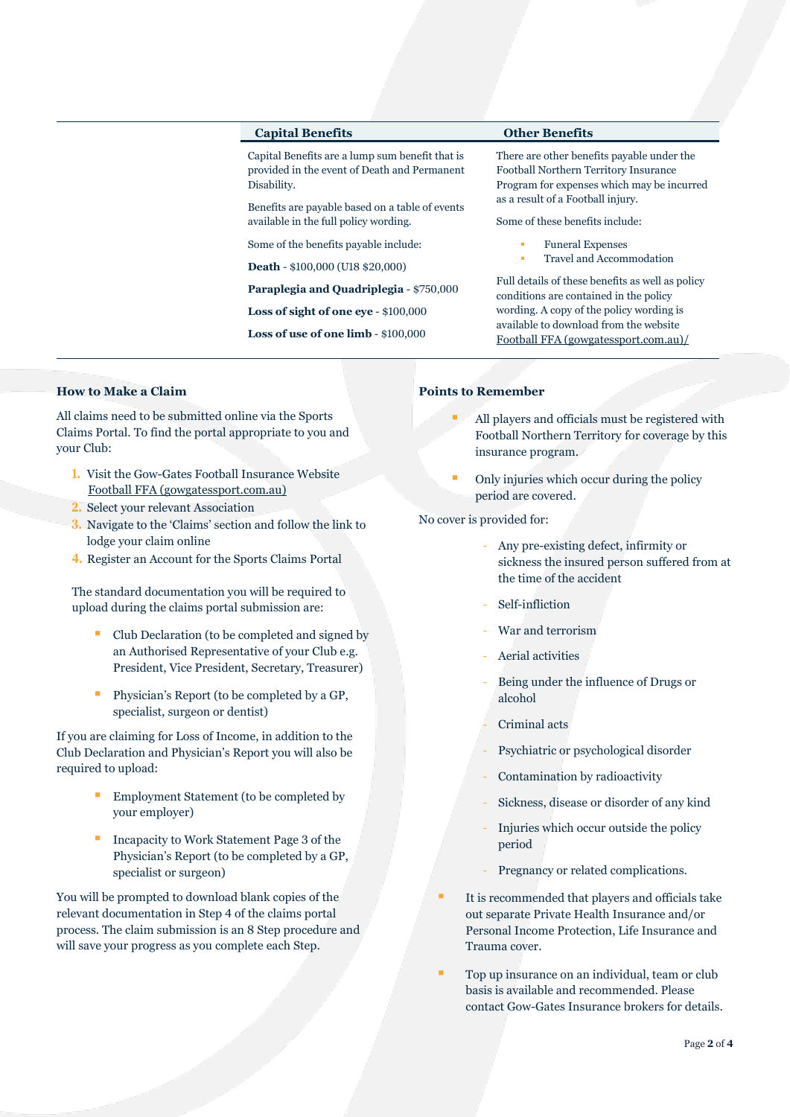## **Capital Benefits Other Benefits**

Capital Benefits are a lump sum benefit that is provided in the event of Death and Permanent Disability.

Benefits are payable based on a table of events available in the full policy wording.

Some of the benefits payable include:

**Death** - \$100,000 (U18 \$20,000)

**Paraplegia and Quadriplegia** - \$750,000

**Loss of sight of one eye** - \$100,000

**Loss of use of one limb** - \$100,000

There are other benefits payable under the Football Northern Territory Insurance Program for expenses which may be incurred as a result of a Football injury.

Some of these benefits include:

- **Funeral Expenses**
- Travel and Accommodation

Full details of these benefits as well as policy conditions are contained in the policy wording. A copy of the policy wording is available to download from the website [Football FFA \(gowgatessport.com.au\)/](https://football.gowgatessport.com.au/)

# **How to Make a Claim**

All claims need to be submitted online via the Sports Claims Portal. To find the portal appropriate to you and your Club:

- **1.** Visit the Gow-Gates Football Insurance Website [Football FFA \(gowgatessport.com.au\)](https://football.gowgatessport.com.au/)
- **2.** Select your relevant Association
- **3.** Navigate to the 'Claims' section and follow the link to lodge your claim online
- **4.** Register an Account for the Sports Claims Portal

The standard documentation you will be required to upload during the claims portal submission are:

- Club Declaration (to be completed and signed by an Authorised Representative of your Club e.g. President, Vice President, Secretary, Treasurer)
- Physician's Report (to be completed by a GP, specialist, surgeon or dentist)

If you are claiming for Loss of Income, in addition to the Club Declaration and Physician's Report you will also be required to upload:

- Employment Statement (to be completed by your employer)
- Incapacity to Work Statement Page 3 of the Physician's Report (to be completed by a GP, specialist or surgeon)

You will be prompted to download blank copies of the relevant documentation in Step 4 of the claims portal process. The claim submission is an 8 Step procedure and will save your progress as you complete each Step.

## **Points to Remember**

- All players and officials must be registered with Football Northern Territory for coverage by this insurance program.
- Only injuries which occur during the policy period are covered.

No cover is provided for:

- Any pre-existing defect, infirmity or sickness the insured person suffered from at the time of the accident
- Self-infliction
- War and terrorism
- Aerial activities
- Being under the influence of Drugs or alcohol
- Criminal acts
- Psychiatric or psychological disorder
- Contamination by radioactivity
- Sickness, disease or disorder of any kind
- Injuries which occur outside the policy period
- Pregnancy or related complications.
- It is recommended that players and officials take out separate Private Health Insurance and/or Personal Income Protection, Life Insurance and Trauma cover.
- Top up insurance on an individual, team or club basis is available and recommended. Please contact Gow-Gates Insurance brokers for details.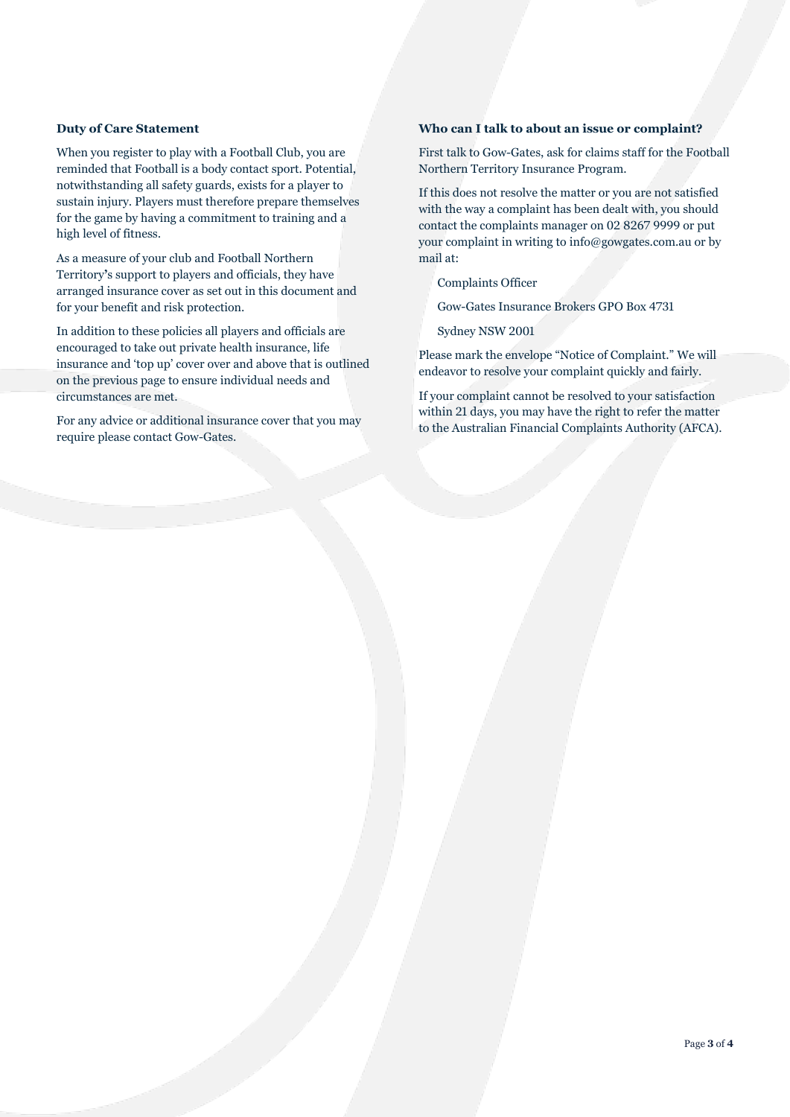## **Duty of Care Statement**

When you register to play with a Football Club, you are reminded that Football is a body contact sport. Potential, notwithstanding all safety guards, exists for a player to sustain injury. Players must therefore prepare themselves for the game by having a commitment to training and a high level of fitness.

As a measure of your club and Football Northern Territory**'**s support to players and officials, they have arranged insurance cover as set out in this document and for your benefit and risk protection.

In addition to these policies all players and officials are encouraged to take out private health insurance, life insurance and 'top up' cover over and above that is outlined on the previous page to ensure individual needs and circumstances are met.

For any advice or additional insurance cover that you may require please contact Gow-Gates.

## **Who can I talk to about an issue or complaint?**

First talk to Gow-Gates, ask for claims staff for the Football Northern Territory Insurance Program.

If this does not resolve the matter or you are not satisfied with the way a complaint has been dealt with, you should contact the complaints manager on 02 8267 9999 or put your complaint in writing to info@gowgates.com.au or by mail at:

Complaints Officer

Gow-Gates Insurance Brokers GPO Box 4731

Sydney NSW 2001

Please mark the envelope "Notice of Complaint." We will endeavor to resolve your complaint quickly and fairly.

If your complaint cannot be resolved to your satisfaction within 21 days, you may have the right to refer the matter to the Australian Financial Complaints Authority (AFCA).